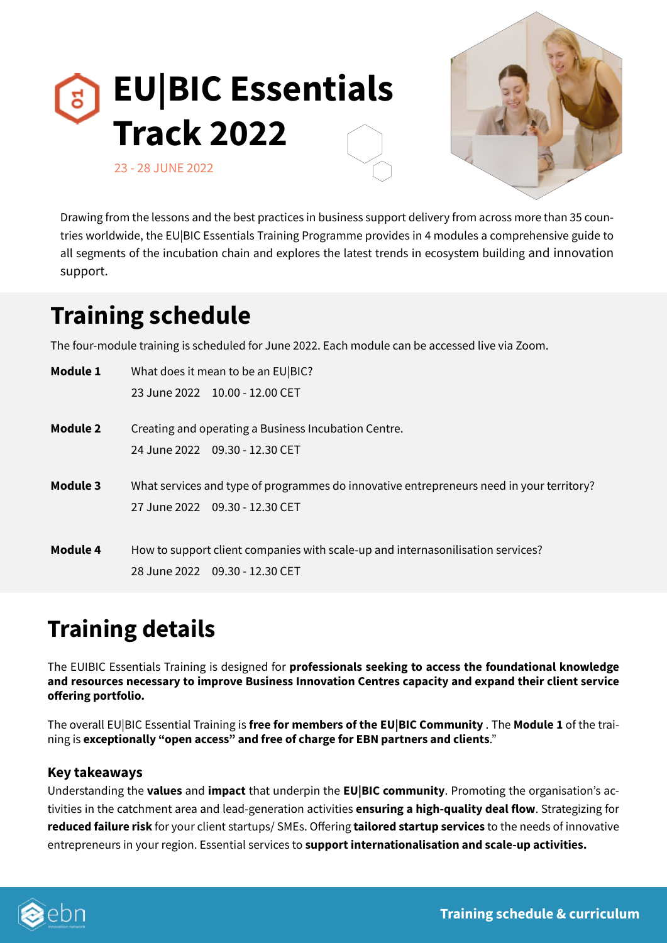



Drawing from the lessons and the best practices in business support delivery from across more than 35 countries worldwide, the EU|BIC Essentials Training Programme provides in 4 modules a comprehensive guide to all segments of the incubation chain and explores the latest trends in ecosystem building and innovation support.

# **Training schedule**

The four-module training is scheduled for June 2022. Each module can be accessed live via Zoom.

| <b>Module 1</b> | What does it mean to be an EU BIC?                                                       |
|-----------------|------------------------------------------------------------------------------------------|
|                 | 23 June 2022    10.00 - 12.00 CET                                                        |
| Module 2        | Creating and operating a Business Incubation Centre.                                     |
|                 | 24 June 2022 09.30 - 12.30 CET                                                           |
| Module 3        | What services and type of programmes do innovative entrepreneurs need in your territory? |
|                 | 27 June 2022 09.30 - 12.30 CET                                                           |
|                 |                                                                                          |
| Module 4        | How to support client companies with scale-up and internasonilisation services?          |
|                 | 28 June 2022 09.30 - 12.30 CET                                                           |

# **Training details**

The EUIBIC Essentials Training is designed for **professionals seeking to access the foundational knowledge and resources necessary to improve Business Innovation Centres capacity and expand their client service offering portfolio.**

The overall EU|BIC Essential Training is **free for members of the EU|BIC Community** . The **Module 1** of the training is **exceptionally "open access" and free of charge for EBN partners and clients**."

## **Key takeaways**

Understanding the **values** and **impact** that underpin the **EU|BIC community**. Promoting the organisation's activities in the catchment area and lead-generation activities **ensuring a high-quality deal flow**. Strategizing for **reduced failure risk** for your client startups/ SMEs. Offering **tailored startup services** to the needs of innovative entrepreneurs in your region. Essential services to **support internationalisation and scale-up activities.**

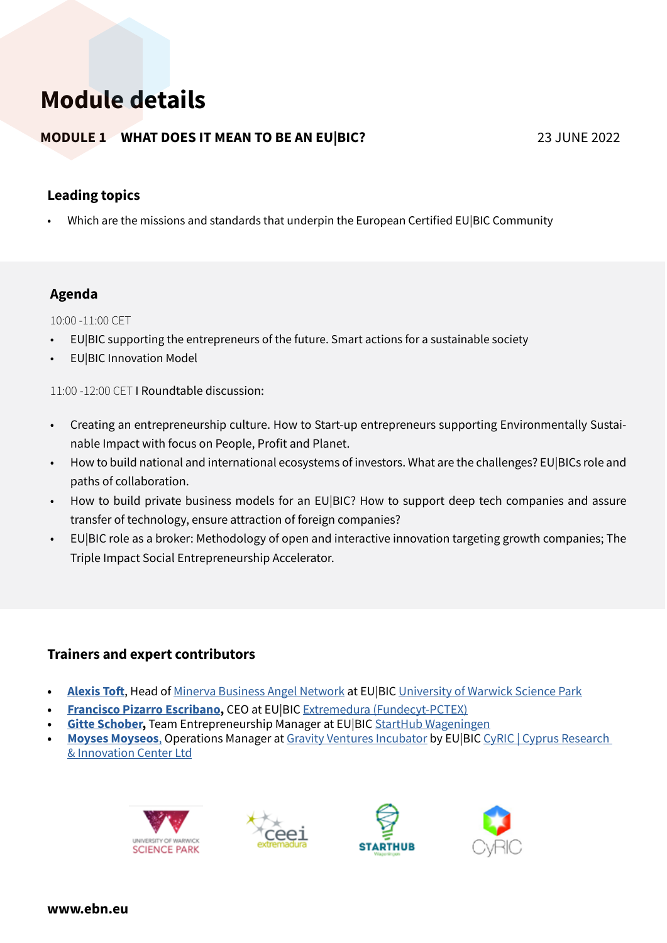# **Module details**

# **MODULE 1 WHAT DOES IT MEAN TO BE AN EU|BIC?** 23 JUNE 2022

# **Leading topics**

• Which are the missions and standards that underpin the European Certified EU|BIC Community

# **Agenda**

10:00 -11:00 CET

- EU|BIC supporting the entrepreneurs of the future. Smart actions for a sustainable society
- EU|BIC Innovation Model

11:00 -12:00 CET I Roundtable discussion:

- Creating an entrepreneurship culture. How to Start-up entrepreneurs supporting Environmentally Sustainable Impact with focus on People, Profit and Planet.
- How to build national and international ecosystems of investors. What are the challenges? EU|BICs role and paths of collaboration.
- How to build private business models for an EU|BIC? How to support deep tech companies and assure transfer of technology, ensure attraction of foreign companies?
- EU|BIC role as a broker: Methodology of open and interactive innovation targeting growth companies; The Triple Impact Social Entrepreneurship Accelerator.

# **Trainers and expert contributors**

- **• [Alexis Toft](https://www.linkedin.com/in/alexisjtoft/)**, Head of [Minerva Business Angel Network](https://minerva.uk.net/) at EU|BIC [University of Warwick Science Park](https://www.warwicksciencepark.co.uk/)
- **• [Francisco Pizarro Escribano,](https://www.linkedin.com/in/pacopizarro/)** CEO at EU|BIC [Extremedura \(Fundecyt-PCTEX\)](http://www.fundecyt.es/index.php?idioma=en)
- **[Gitte Schober](https://www.linkedin.com/in/gitteschober/), Team Entrepreneurship Manager at EU|BIC [StartHub Wageningen](https://www.starthubwageningen.nl/)**
- **• [Moyses Moyseos](https://www.linkedin.com/in/moysesmoyseos/)**, Operations Manager at [Gravity Ventures Incubator](https://www.gravity.ventures/) by EU|BIC [CyRIC | Cyprus Research](https://www.cyric.eu/)  [& Innovation Center Ltd](https://www.cyric.eu/)







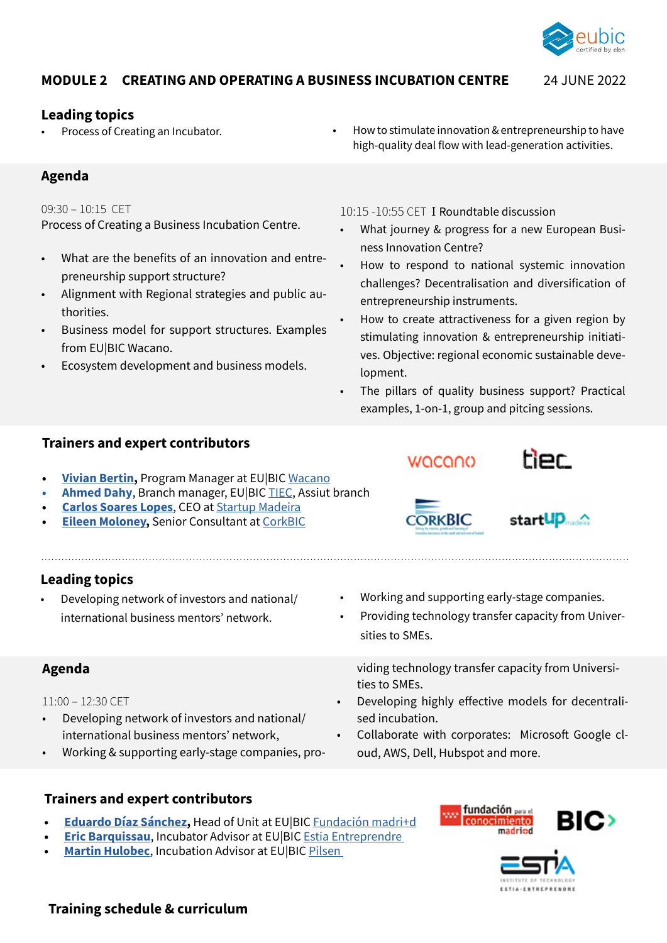

### **MODULE 2 CREATING AND OPERATING A BUSINESS INCUBATION CENTRE** 24 JUNE 2022

#### **Leading topics**

## **Agenda**

#### 09:30 – 10:15 CET

Process of Creating a Business Incubation Centre.

- What are the benefits of an innovation and entrepreneurship support structure?
- Alignment with Regional strategies and public authorities.
- Business model for support structures. Examples from EU|BIC Wacano.
- Ecosystem development and business models.

Process of Creating an Incubator. • **•** How to stimulate innovation & entrepreneurship to have high-quality deal flow with lead-generation activities.

10:15 -10:55 CET I Roundtable discussion

- What journey & progress for a new European Business Innovation Centre?
- How to respond to national systemic innovation challenges? Decentralisation and diversification of entrepreneurship instruments.
- How to create attractiveness for a given region by stimulating innovation & entrepreneurship initiatives. Objective: regional economic sustainable development.
- The pillars of quality business support? Practical examples, 1-on-1, group and pitcing sessions.

• Working and supporting early-stage companies. • Providing technology transfer capacity from Univer-

viding technology transfer capacity from Universi-

• Developing highly effective models for decentrali-

• Collaborate with corporates: Microsoft Google cl-

oud, AWS, Dell, Hubspot and more.

#### **Trainers and expert contributors**

- **• [Vivian Bertin,](https://www.linkedin.com/in/vivian-bertin-54a92b48/)** Program Manager at EU|BIC [Wacano](https://wacano.co/)
- **• Ahmed Dahy**, Branch manager, EU|BIC [TIEC](https://tiec.gov.eg/English/Pages/default.aspx), Assiut branch
- **• [Carlos Soares Lopes](https://www.linkedin.com/in/carlossoareslopes/)**, CEO at [Startup Madeira](https://startupmadeira.eu/)
- **• [Eileen Moloney](https://www.linkedin.com/in/eileenmoloney1/),** Senior Consultant at [CorkBIC](https://www.corkbic.com/about2)

## **Leading topics**

• Developing network of investors and national/ international business mentors' network.

### **Agenda**

11:00 – 12:30 CET

- Developing network of investors and national/ international business mentors' network,
- Working & supporting early-stage companies, pro-

### **Trainers and expert contributors**

- **• [Eduardo Díaz Sánchez,](https://www.linkedin.com/in/ediaz1/)** Head of Unit at EU|BIC [Fundación madri+d](https://www.madrimasd.org/)
- **• [Eric Barquissau](https://www.linkedin.com/in/eric-barquissau-a840773/)**, Incubator Advisor at EU|BIC [Estia Entreprendre](https://entreprendre.estia.fr/)
- **[Martin Hulobec](https://www.linkedin.com/in/martin-holubec-3a1b771/)**, Incubation Advisor at EU|BIC Pilsen





# **Training schedule & curriculum**





tier



sities to SMEs.

ties to SMEs.

sed incubation.

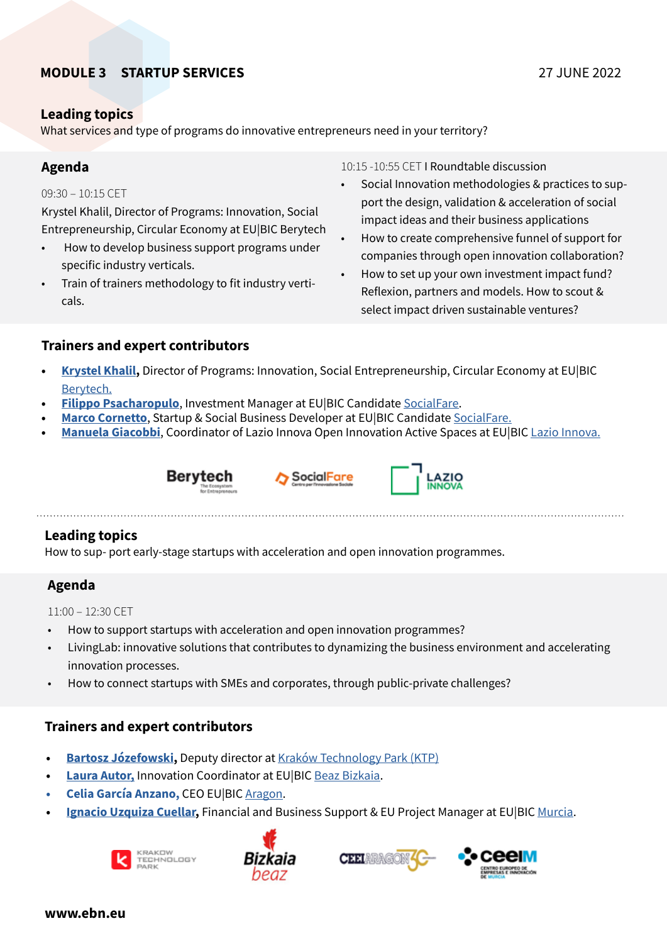# **MODULE 3 STARTUP SERVICES** 27 JUNE 2022

### **Leading topics**

What services and type of programs do innovative entrepreneurs need in your territory?

## **Agenda**

#### 09:30 – 10:15 CET

Krystel Khalil, Director of Programs: Innovation, Social Entrepreneurship, Circular Economy at EU|BIC Berytech

- How to develop business support programs under specific industry verticals.
- Train of trainers methodology to fit industry verticals.

10:15 -10:55 CET I Roundtable discussion

- Social Innovation methodologies & practices to support the design, validation & acceleration of social impact ideas and their business applications
- How to create comprehensive funnel of support for companies through open innovation collaboration?
- How to set up your own investment impact fund? Reflexion, partners and models. How to scout & select impact driven sustainable ventures?

## **Trainers and expert contributors**

- **• [Krystel Khalil](https://www.linkedin.com/in/krystelkhalil/?original_referer=https%3A%2F%2Fwww%2Egoogle%2Ecom%2F&originalSubdomain=lb),** Director of Programs: Innovation, Social Entrepreneurship, Circular Economy at EU|BIC [Berytech.](https://berytech.org/)
- **• [Filippo Psacharopulo](https://www.linkedin.com/in/filippo-psacharopulo-b87501115/)**, Investment Manager at EU|BIC Candidate [SocialFare](https://socialfare.org/en/).
- **•• [Marco Cornetto](https://www.linkedin.com/in/marcocornetto/)**, Startup & Social Business Developer at EU|BIC Candidate [SocialFare.](https://socialfare.org/en/)
- **[Manuela Giacobbi](https://www.linkedin.com/in/manuela-giacobbi-599450156/)**, Coordinator of [Lazio Innova](https://www.lazioinnova.it/) Open Innovation Active Spaces at EU|BIC Lazio Innova.







## **Leading topics**

How to sup- port early-stage startups with acceleration and open innovation programmes.

## **Agenda**

11:00 – 12:30 CET

- How to support startups with acceleration and open innovation programmes?
- LivingLab: innovative solutions that contributes to dynamizing the business environment and accelerating innovation processes.
- How to connect startups with SMEs and corporates, through public-private challenges?

# **Trainers and expert contributors**

- **• [Bartosz Józefowski](https://www.linkedin.com/in/bartosz-j%C3%B3zefowski-10b6854/),** Deputy director at [Kraków Technology Park \(KTP\)](https://www.kpt.krakow.pl/en/)
- **• [Laura Autor,](https://www.linkedin.com/in/laura-autor/)** Innovation Coordinator at EU|BIC [Beaz Bizkaia](https://www.linkedin.com/company/beaz-bizkaia/).
- **• Celia García Anzano,** CEO EU|BIC [Aragon](https://www.ceeiaragon.es/).
- **• [Ignacio Uzquiza Cuellar,](https://www.linkedin.com/in/ignacio-uzquiza-cuellar/)** Financial and Business Support & EU Project Manager at EU|BIC [Murcia.](https://www.ceeim.es/en/)